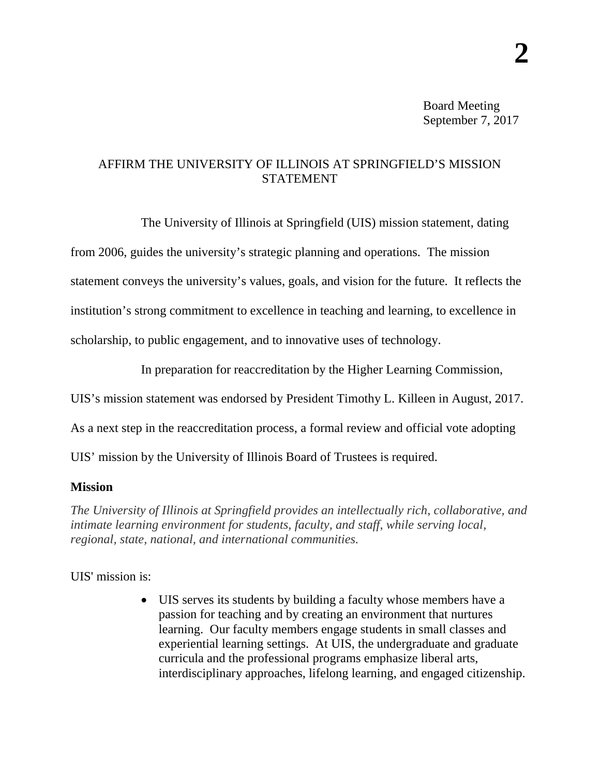Board Meeting September 7, 2017

## AFFIRM THE UNIVERSITY OF ILLINOIS AT SPRINGFIELD'S MISSION STATEMENT

The University of Illinois at Springfield (UIS) mission statement, dating from 2006, guides the university's strategic planning and operations. The mission statement conveys the university's values, goals, and vision for the future. It reflects the institution's strong commitment to excellence in teaching and learning, to excellence in scholarship, to public engagement, and to innovative uses of technology.

In preparation for reaccreditation by the Higher Learning Commission,

UIS's mission statement was endorsed by President Timothy L. Killeen in August, 2017.

As a next step in the reaccreditation process, a formal review and official vote adopting

UIS' mission by the University of Illinois Board of Trustees is required.

## **Mission**

*The University of Illinois at Springfield provides an intellectually rich, collaborative, and intimate learning environment for students, faculty, and staff, while serving local, regional, state, national, and international communities.*

UIS' mission is:

• UIS serves its students by building a faculty whose members have a passion for teaching and by creating an environment that nurtures learning. Our faculty members engage students in small classes and experiential learning settings. At UIS, the undergraduate and graduate curricula and the professional programs emphasize liberal arts, interdisciplinary approaches, lifelong learning, and engaged citizenship.